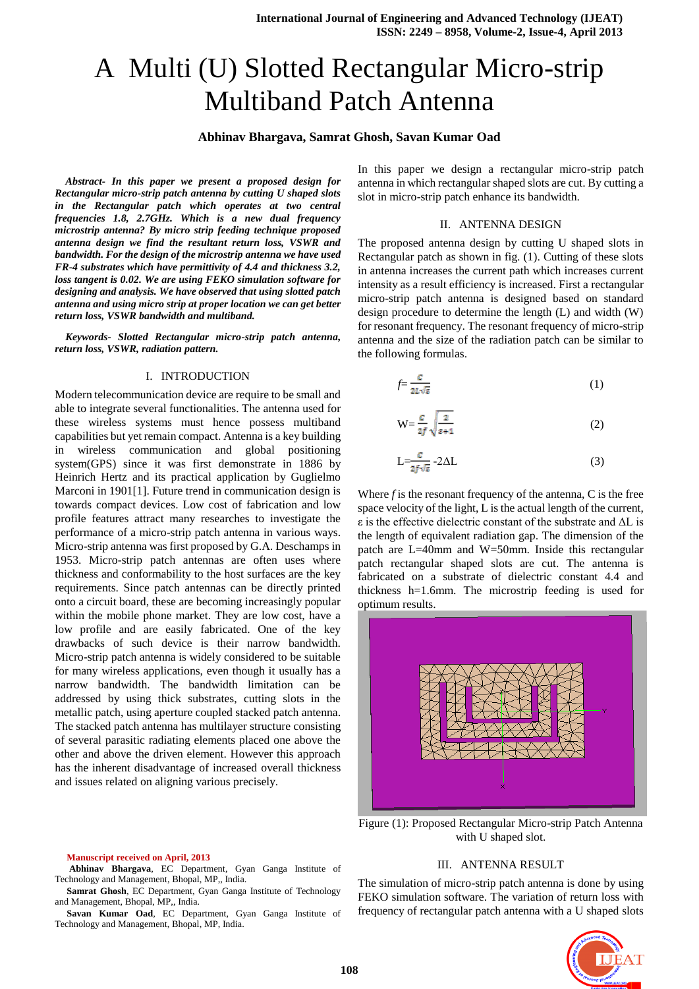# A Multi (U) Slotted Rectangular Micro-strip Multiband Patch Antenna

# **Abhinav Bhargava, Samrat Ghosh, Savan Kumar Oad**

*Abstract- In this paper we present a proposed design for Rectangular micro-strip patch antenna by cutting U shaped slots in the Rectangular patch which operates at two central frequencies 1.8, 2.7GHz. Which is a new dual frequency microstrip antenna? By micro strip feeding technique proposed antenna design we find the resultant return loss, VSWR and bandwidth. For the design of the microstrip antenna we have used FR-4 substrates which have permittivity of 4.4 and thickness 3.2, loss tangent is 0.02. We are using FEKO simulation software for designing and analysis. We have observed that using slotted patch antenna and using micro strip at proper location we can get better return loss, VSWR bandwidth and multiband.*

*Keywords- Slotted Rectangular micro-strip patch antenna, return loss, VSWR, radiation pattern.*

#### I. INTRODUCTION

Modern telecommunication device are require to be small and able to integrate several functionalities. The antenna used for these wireless systems must hence possess multiband capabilities but yet remain compact. Antenna is a key building in wireless communication and global positioning system(GPS) since it was first demonstrate in 1886 by Heinrich Hertz and its practical application by Guglielmo Marconi in 1901[1]. Future trend in communication design is towards compact devices. Low cost of fabrication and low profile features attract many researches to investigate the performance of a micro-strip patch antenna in various ways. Micro-strip antenna was first proposed by G.A. Deschamps in 1953. Micro-strip patch antennas are often uses where thickness and conformability to the host surfaces are the key requirements. Since patch antennas can be directly printed onto a circuit board, these are becoming increasingly popular within the mobile phone market. They are low cost, have a low profile and are easily fabricated. One of the key drawbacks of such device is their narrow bandwidth. Micro-strip patch antenna is widely considered to be suitable for many wireless applications, even though it usually has a narrow bandwidth. The bandwidth limitation can be addressed by using thick substrates, cutting slots in the metallic patch, using aperture coupled stacked patch antenna. The stacked patch antenna has multilayer structure consisting of several parasitic radiating elements placed one above the other and above the driven element. However this approach has the inherent disadvantage of increased overall thickness and issues related on aligning various precisely.

In this paper we design a rectangular micro-strip patch antenna in which rectangular shaped slots are cut. By cutting a slot in micro-strip patch enhance its bandwidth.

## II. ANTENNA DESIGN

The proposed antenna design by cutting U shaped slots in Rectangular patch as shown in fig. (1). Cutting of these slots in antenna increases the current path which increases current intensity as a result efficiency is increased. First a rectangular micro-strip patch antenna is designed based on standard design procedure to determine the length (L) and width (W) for resonant frequency. The resonant frequency of micro-strip antenna and the size of the radiation patch can be similar to the following formulas.

$$
f = \frac{c}{2L\sqrt{\varepsilon}}\tag{1}
$$

$$
W = \frac{c}{2f} \sqrt{\frac{2}{\varepsilon + 1}}
$$
 (2)

$$
L = \frac{c}{2f\sqrt{\varepsilon}} - 2\Delta L
$$
 (3)

Where *f* is the resonant frequency of the antenna, C is the free space velocity of the light, L is the actual length of the current, ε is the effective dielectric constant of the substrate and ΔL is the length of equivalent radiation gap. The dimension of the patch are L=40mm and W=50mm. Inside this rectangular patch rectangular shaped slots are cut. The antenna is fabricated on a substrate of dielectric constant 4.4 and thickness h=1.6mm. The microstrip feeding is used for optimum results.



Figure (1): Proposed Rectangular Micro-strip Patch Antenna with U shaped slot.

#### **Manuscript received on April, 2013**

**Abhinav Bhargava**, EC Department, Gyan Ganga Institute of Technology and Management, Bhopal, MP,, India.

**Samrat Ghosh**, EC Department, Gyan Ganga Institute of Technology and Management, Bhopal, MP,, India.

**Savan Kumar Oad**, EC Department, Gyan Ganga Institute of Technology and Management, Bhopal, MP, India.

### III. ANTENNA RESULT

The simulation of micro-strip patch antenna is done by using FEKO simulation software. The variation of return loss with frequency of rectangular patch antenna with a U shaped slots

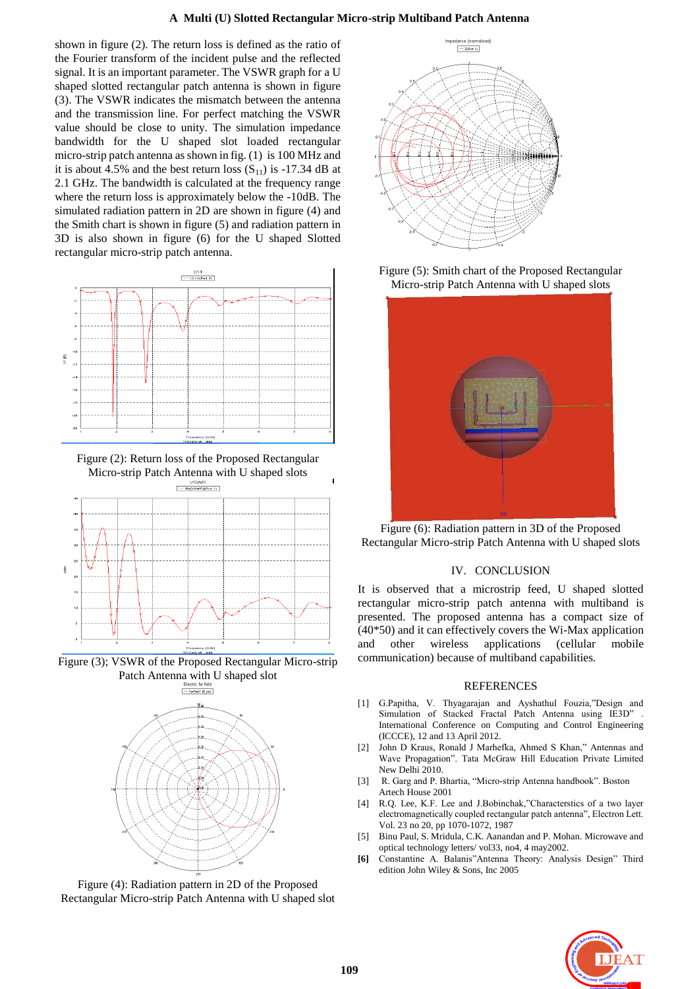shown in figure (2). The return loss is defined as the ratio of the Fourier transform of the incident pulse and the reflected signal. It is an important parameter. The VSWR graph for a U shaped slotted rectangular patch antenna is shown in figure (3). The VSWR indicates the mismatch between the antenna and the transmission line. For perfect matching the VSWR value should be close to unity. The simulation impedance bandwidth for the U shaped slot loaded rectangular micro-strip patch antenna as shown in fig. (1) is 100 MHz and it is about 4.5% and the best return loss  $(S_{11})$  is -17.34 dB at 2.1 GHz. The bandwidth is calculated at the frequency range where the return loss is approximately below the -10dB. The simulated radiation pattern in 2D are shown in figure (4) and the Smith chart is shown in figure (5) and radiation pattern in 3D is also shown in figure (6) for the U shaped Slotted rectangular micro-strip patch antenna.



Figure (2): Return loss of the Proposed Rectangular Micro-strip Patch Antenna with U shaped slots



Figure (3); VSWR of the Proposed Rectangular Micro-strip Patch Antenna with U shaped slot



Figure (4): Radiation pattern in 2D of the Proposed Rectangular Micro-strip Patch Antenna with U shaped slot



Figure (5): Smith chart of the Proposed Rectangular Micro-strip Patch Antenna with U shaped slots



Figure (6): Radiation pattern in 3D of the Proposed Rectangular Micro-strip Patch Antenna with U shaped slots

# IV. CONCLUSION

It is observed that a microstrip feed, U shaped slotted rectangular micro-strip patch antenna with multiband is presented. The proposed antenna has a compact size of (40\*50) and it can effectively covers the Wi-Max application and other wireless applications (cellular mobile communication) because of multiband capabilities.

## REFERENCES

- [1] G.Papitha, V. Thyagarajan and Ayshathul Fouzia,"Design and Simulation of Stacked Fractal Patch Antenna using IE3D" International Conference on Computing and Control Engineering (ICCCE), 12 and 13 April 2012.
- [2] John D Kraus, Ronald J Marhefka, Ahmed S Khan," Antennas and Wave Propagation". Tata McGraw Hill Education Private Limited New Delhi 2010.
- [3] R. Garg and P. Bhartia, "Micro-strip Antenna handbook". Boston Artech House 2001
- [4] R.Q. Lee, K.F. Lee and J.Bobinchak,"Characterstics of a two layer electromagnetically coupled rectangular patch antenna", Electron Lett. Vol. 23 no 20, pp 1070-1072, 1987
- [5] Binu Paul, S. Mridula, C.K. Aanandan and P. Mohan. Microwave and optical technology letters/ vol33, no4, 4 may2002.
- **[6]** Constantine A. Balanis"Antenna Theory: Analysis Design" Third edition John Wiley & Sons, Inc 2005